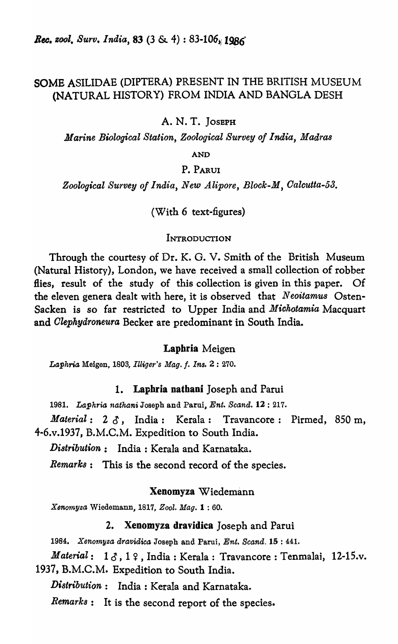# SOMB ASILIDAE (DIPTERA) PRESENT IN THE BRITISH MUSEUM (NATURAL HISTORY) FROM INDIA AND BANGLA DESH

A. N. T. JOSEPH

*Marine Biological Station, Zoological Survey of India, Madras* 

AND

# P.PARUI

Zoological Survey of India, New Alipore, Block-M, Calcutta-53.

(With 6 text-figures)

#### **INTRODUCTION**

Through the courtesy of Dr. K. O. V. Smith of the British Museum (Natural History), London, we have received a small collection of robber flies, result of the study of this collection is given in this paper. Of the eleven genera dealt with here, it is observed that *Neoitamu8* Osten-Sacken is so far restricted to Upper India and *Miohotamia* Macquart and *Olephydroneura* Becker are predominant in South India.

# Laphria Meigen

Lo,~hria Meigen, 1803, *Illiger's Mag.* f. *Ins.* 2 : 270.

# 1. Laphria nathani Joseph and Parui

1981. Laphria nathani Joseph and Parui, *Ent. Scand.* 12: 217.

*Material:* 2 0, India: Kerala: Travancore: Pirmed, 850 m, 4-6.v.1937, B.M.C.M. Expedition to South India.

*Distribution:* India: Kerala and Karnataka.

*Remarks:* This is the second record of the species.

# Xenomyza Wiedemann

*Xeno1nyZo,* Wiedemann, 1817, *Zool. Mag.* 1 : 60.

## 2. Xenomyza dravidica Joseph and Parui

*1984:. Xenomyzo, dravidico,* Joseph and Parui, *Ent. Scand.* 15 : 441.

*Material*: 13, 19, India: Kerala: Travancore: Tenmalai, 12-15.v. 1937, B.M.C.M. Expedition to South India.

*Distribution:* India: Kerala and Karnataka.

*Remarks:* It is the second report of the species.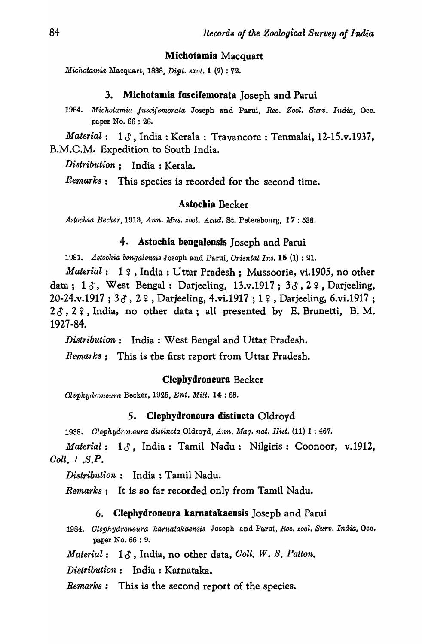# Michotamia Macquart

*Michotamia* Macquart, 1888, *Dipt. exot.* **1** (2) : 72.

#### 3. Michotamia fuscifemorata Joseph and Parui

1984. Michotamia fuscifemorata Joseph and Parui, *Rec. Zool. Surv. India*, Occ. paper No. 66 : 26.

Aaterial: 1  $\delta$ , India: Kerala: Travancore: Tenmalai, 12-15.v.1937, B.M.C.M. Expedition to South India.

*Di8tribution;* India: Kerala.

*Remarks:* This species is recorded for the second time.

#### Astochia Becker

*Astochia Becker,* 1913, *Ann. Mus. zool. Acad.* St. Petersbourg, 17 : 588.

# 4. Astochia bengalensis Joseph and Parui

1981. Astochia bengalensis Joseph and Parui, *Oriental Ins.* **15** (1) : 21.

*Material*: 1  $9$ , India: Uttar Pradesh; Mussoorie, vi.1905, no other data;  $1 \delta$ , West Bengal: Darjeeling,  $13 \ldots 1917$ ;  $3 \delta$ ,  $2 \epsilon$ , Darjeeling, 20-24.v.1917 ;  $3\delta$ ,  $2\delta$ , Darjeeling, 4.vi.1917 ; 1  $\delta$ , Darjeeling, 6.vi.1917 ;  $2\delta$ ,  $2\gamma$ , India, no other data; all presented by E. Brunetti, B.M. 1927-84.

*Distribution:* India: West Bengal and Uttar Pradesh.

*Remark8:* This is the first report from Uttar Pradesh.

#### Clepbydroneura Becker

*Olephydroneura* Becker, 1925, *Ent. Mitt.* 14 : 68.

#### 5. Clepbydroneura distincta Oldroyd

*1938. Olephydrorfleura distincta* Oldroyd, *Ann. Mag. nat. Hist.* (11) 1 : 467.

*Material*: 15, India: Tamil Nadu: Nilgiris: Coonoor, v.1912, *Coll.*  $\cdot$  *.S.P.* 

*Distribution*: India: Tamil Nadu.

*Remarks:* It is so far recorded only from Tamil Nadu.

#### 6. Clephydroneura karnatakaensis Joseph and Parui

*1984. Olephydroneura karnatakaensis* Joseph and Parui, *Ree. zool. Surv. India,* Occ. paper No. 66 : 9.

*Material:* 10', India, no other data, *Ooll. W. S. Patton.* 

*Distribution:* India: Karnataka.

*Remarks:* This is the second report of the species.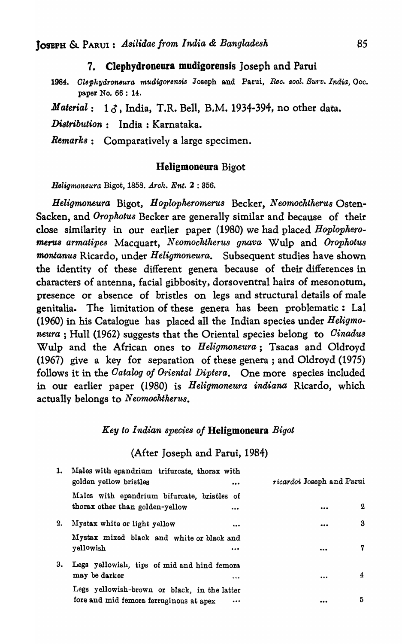# 7. Clepbydroneura mudigorensis Joseph and Parui

1984. Clephydroneura mudigorensis Joseph and Parui, *Rec. zool. Surv. India*, Occ. paper No. 66 : 14.

*Material*: 16, India, T.R. Bell, B.M. 1934-394, no other data.

*Di8tribution:* India: Karnataka.

*Remarks:* Comparatively a large specimen.

# Heligmoneura Bigot

*Belig11£oneura* Bigot, 1858. *Arch. Ent.* 2 : 856.

*Heligmoneura* Bigot, *Hoplopheromerus* Becker, *Neomochtherus* Osten-Sacken, and *Orophotu8* Becker are generally similar and because of their close similarity in our earlier paper (1980) we had placed *Hoplopkeromer'U8 armatipes* Macquart, *N eomochtherus gnava* Wulp and *Orophotus montanu8* Ricardo, under *Heligmoneura.* Subsequent studies have shown the identity of these different genera because of their differences in characters of antenna, facial gibbosity, dorsoventral hairs of mesonotum, presence or absence of bristles on legs and structural details of male genitalia. The limitation of these genera has been problematic: Lal (1960) in his Catalogue has placed all the Indian species under *Heligmoneura* ; Hull (1962) suggests that the Oriental species belong to *Oinadu8*  Wulp and the African ones to *Heligmoneura;* Tsacas and Oldroyd (1967) give a key for separation of these genera; and Oldroyd (1975) follows it in the *Oatalog of Oriental Diptera.* One more species included in our earlier paper (1980) is *Heligmoneura indiana* Ricardo, which actually belongs to *N eomochtkerus.* 

# *Key to Indian species of* Heligmoneura *Bigot*

# (After Joseph and Parui, 1984)

| 1. | Males with epandrium trifurcate, thorax with<br>golden yellow bristles<br>                  | ricardoi Joseph and Parui              |
|----|---------------------------------------------------------------------------------------------|----------------------------------------|
|    | Males with epandrium bifurcate, bristles of<br>thorax other than golden-yellow<br>          | $\mathbf 2$<br>$\bullet\bullet\bullet$ |
| 2. | Mystax white or light yellow<br>$\bullet$                                                   | 3<br>                                  |
|    | Mystax mixed black and white or black and<br>yellowish<br>                                  | 7<br>                                  |
| 3. | Legs yellowish, tips of mid and hind femora<br>may be darker                                | 4<br>                                  |
|    | Legs yellowish-brown or black, in the latter<br>fore and mid femora ferruginous at apex<br> | 5<br>                                  |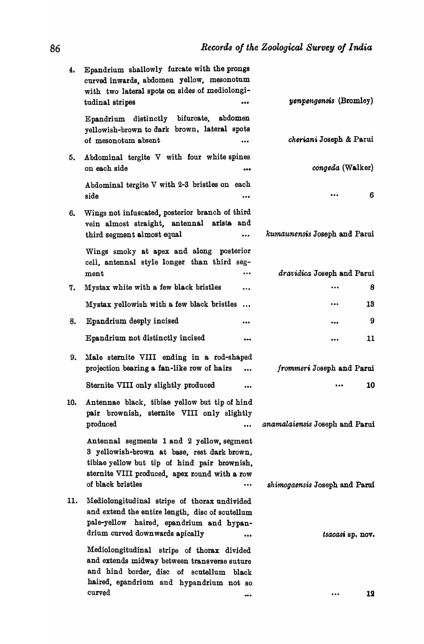| 4.  | Epandrium shallowly furcate with the prongs<br>curved inwards, abdomen yellow, mesonotum<br>with two lateral spots on sides of mediolongi-<br>tudinal stripes<br>                                                  | <i>yenpengensis</i> (Bromley)  |
|-----|--------------------------------------------------------------------------------------------------------------------------------------------------------------------------------------------------------------------|--------------------------------|
|     | Epandrium distinctly bifurcate,<br>abdomen<br>yellowish-brown to dark brown, lateral spots<br>of mesonotum absent<br>$\bullet\bullet\bullet$                                                                       | <i>cheriani</i> Joseph & Parui |
| 5.  | Abdominal tergite V with four white spines<br>on each side<br>                                                                                                                                                     | <i>congeda</i> (Walker)        |
|     | Abdominal tergite V with 2-3 bristles on each<br>side<br>                                                                                                                                                          | 6<br>                          |
| 6.  | Wings not infuscated, posterior branch of third<br>vein almost straight, antennal arists and<br>third segment almost equal<br>$\ddotsc$                                                                            | kumaunensis Joseph and Parui   |
|     | Wings smoky at apex and along posterior<br>cell, antennal style longer than third seg-<br>ment<br>$\cdots$                                                                                                         | dravidica Joseph and Parui     |
| 7.  | Mystax white with a few black bristles<br>                                                                                                                                                                         | 8                              |
|     | Mystax yellowish with a few black bristles<br>$\ddotsc$                                                                                                                                                            | 13<br>                         |
| 8.  | Epandrium deeply incised<br>                                                                                                                                                                                       | 9<br>$\bullet\bullet\bullet$   |
|     | Epandrium not distinctly incised<br>---                                                                                                                                                                            | 11<br>$\bullet\bullet\bullet$  |
| 9.  | Male sternite VIII ending in a rod-shaped<br>projection bearing a fan-like row of hairs                                                                                                                            | frommeri Joseph and Parui      |
|     | Sternite VIII only slightly produced<br>                                                                                                                                                                           | 10<br>$\bullet\bullet\bullet$  |
| 10. | Antennae black, tibiae yellow but tip of hind<br>pair brownish, sternite VIII only slightly<br>produced<br>                                                                                                        | anamalaiensis Joseph and Parui |
|     | Antennal segments 1 and 2 yellow, segment<br>3 yellowish-brown at base, rest dark brown,<br>tibiae yellow but tip of hind pair brownish,<br>sternite VIII produced, apex round with a row<br>of black bristles<br> | shimogaensis Joseph and Parui  |
| 11. | Mediolongitudinal stripe of thorax undivided<br>and extend the entire length, disc of scutellum<br>pale-yellow haired, epandrium and hypan-<br>drium curved downwards apically<br>                                 | tsacasi sp. nov.               |
|     | Mediolongitudinal stripe of thorax divided<br>and extends midway between transverse suture<br>and hind border, disc of scutellum<br>black<br>haired, epandrium and hypandrium not so<br>curved                     |                                |
|     |                                                                                                                                                                                                                    | 12                             |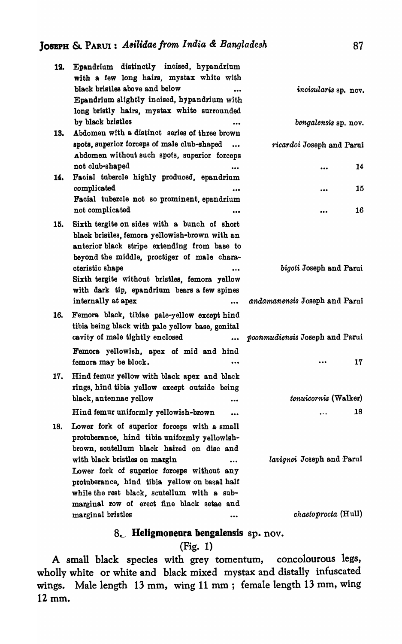| 12. | Epandrium distinctly incised, hypandrium<br>with a few long hairs, mystax white with                                                                                                                                                   |                                                          |
|-----|----------------------------------------------------------------------------------------------------------------------------------------------------------------------------------------------------------------------------------------|----------------------------------------------------------|
|     | black bristles above and below<br>Epandrium slightly incised, hypandrium with<br>long bristly hairs, mystax white surrounded                                                                                                           | incisularis sp. nov.                                     |
| 13. | by black bristles<br>Abdomen with a distinct series of three brown                                                                                                                                                                     | bengalensis sp. nov.                                     |
|     | spots, superior forceps of male club-shaped<br>$\ddotsc$<br>Abdomen without such spots, superior forceps                                                                                                                               | ricardoi Joseph and Parui                                |
| 14. | not club-shaped<br>Facial tubercle highly produced, epandrium                                                                                                                                                                          | 14<br>$\ddotsc$                                          |
|     | complicated<br><br>Facial tubercle not so prominent, epandrium                                                                                                                                                                         | 15<br>                                                   |
|     | not complicated<br>                                                                                                                                                                                                                    | 16<br>$\cdots$                                           |
| 15. | Sixth tergite on sides with a bunch of short<br>black bristles, femora yellowish-brown with an<br>anterior black stripe extending from base to<br>beyond the middle, proctiger of male chara-                                          |                                                          |
|     | cteristic shape<br>Sixth tergite without bristles, femora yellow<br>with dark tip, epandrium bears a few spines<br>internally at apex<br>$\cdots$                                                                                      | bigoti Joseph and Parui<br>andamanensis Joseph and Parui |
| 16. | Femora black, tibiae pale-yellow except hind<br>tibia being black with pale yellow base, genital<br>cavity of male tightly enclosed<br>$\cdots$                                                                                        | poonmudiensis Joseph and Parui                           |
|     | Femora yellowish, apex of mid and hind<br>femora may be block.                                                                                                                                                                         | 17<br>$\ddotsc$                                          |
| 17. | Hind femur yellow with black apex and black<br>rings, hind tibia yellow except outside being                                                                                                                                           |                                                          |
|     | black, antennae yellow<br><br>Hind femur uniformly yellowish-brown                                                                                                                                                                     | tenuicornis (Walker)<br>18<br>$\cdots$                   |
| 18. | Lower fork of superior forceps with a small<br>protuberance, hind tibia uniformly yellowish-<br>brown, soutellum black haired on disc and                                                                                              |                                                          |
|     | with black bristles on margin<br>$\ddotsc$<br>Lower fork of superior forceps without any<br>protuberance, hind tibia yellow on basal half<br>while the rest black, scutellum with a sub-<br>marginal row of erect fine black setae and | lavignei Joseph and Parui                                |
|     | marginal bristles<br>$\bullet$ $\bullet$                                                                                                                                                                                               | <i>chaetoprocta</i> (Hull)                               |

# 8. Heligmoneura bengalensis sp. nov.

# (Fig. 1)

A small black species with grey tomentum, concolourous legs, wholly white or white and black mixed mystax and distally infuscated wings. Male length 13 mm, wing 11 mm; female length 13 mm, wing 12 mm.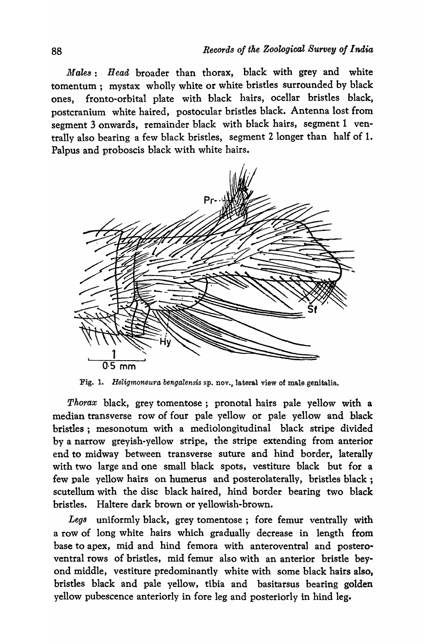*Males: Head* broader than thorax, black with grey and white tomentum; mystax wholly white or white bristles surrounded by black ones, fronto-orbital plate with black hairs, ocellar bristles black, postcranium white haired, postocular bristles black. Antenna lost from segment 3 onwards, remainder black with black hairs, segment 1 ventrally also bearing a few black bristles, segment 2 longer than half of 1. Palpus and proboscis black with white hairs.



Fig. 1. *Heligmoneura bengalensis* sp. nov., lateral view of male genitalia.

*Thorax* black, grey tomentose; pronotal bairs pale yellow with a median transverse row of four pale yellow or pale yellow and black bristles; mesonotum with a mediolongitudinal black stripe divided by a narrow greyish-yellow stripe, the stripe extending from anterior end to midway between transverse suture and hind border, laterally with two large and one small black spots, vestiture black but for a few pale yellow hairs on humerus and posterolaterally, bristles black ; scutellum with the disc black haired, hind border bearing two black bristles. Haltere dark brown or yellowish-brown.

*Legs* uniformly black, grey tomentose; fore femur ventrally with a row of long white hairs which gradually decrease in length from base to apex, mid and hind femora with anteroventral and posteroventral rows of bristles, mid femur also with an anterior bristle beyond middle, vestiture predominantly white with some black hairs also, bristles black and pale yellow, tibia and basitarsus bearing golden yellow pubescence anteriorly in fore leg and posteriorly in hind leg.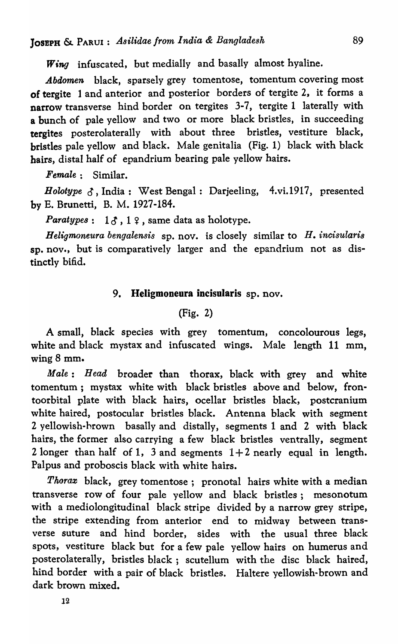*Wing* infuscated, but medially and basally almost hyaline.

*Abdomen* black, sparsely grey tomentose, tomentum covering most of tergite 1 and anterior and posterior borders of tergite 2, it forms a narrow transverse hind border on tergites 3-7, tergite 1 laterally with a bunch of pale yellow and two or more black bristles, in succeeding tergites posterolaterally with about three bristles, vestiture black, bristles pale yellow and black. Male genitalia (Fig. 1) black with black hairs, distal half of epandrium bearing pale yellow hairs.

*Female:* Similar.

Holotype  $\delta$ , India : West Bengal : Darjeeling, 4.vi.1917, presented by E. Brunetti, B. M. 1927-184.

*Paratypes*:  $1\delta$ ,  $1\delta$ , same data as holotype.

*Heligmoneura bengalensis* sp. nov. is closely similar to *H. incisularis*  sp. nov., but is comparatively larger and the epandrium not as distinctly bifid.

# 9. Heligmoneura incisularis sp. nov.

# (Fig. 2)

A small, black species with grey tomentum, concolourous legs, white and black mystax and infuscated wings. Male length 11 mm, wing 8 mm.

*Male: Head* broader than thorax, black with grey and white tomentum; mystax white with black bristles above and below, frontoorbital plate with black hairs, ocellar bristles black, postcranium white haired, postocular bristles black. Antenna black with segment 2 yellowish-hrown basally and distally, segments 1 and 2 with black hairs, the former also carrying a few black bristles ventrally, segment 2 longer than half of 1, 3 and segments  $1+2$  nearly equal in length. Palpus and proboscis black with white hairs.

*Thorax* black, grey tomentose; pronotal hairs white with a median transverse row of four pale yellow and black bristles; mesonotum with a mediolongitudinal black stripe divided by a narrow grey stripe, the stripe extending from anterior end to midway between transverse suture and hind border, sides with the usual three black spots, vestiture black but for a few pale yellow hairs on humerus and posterolaterally, bristles black; scutellum with the disc black haired, hind border with a pair of black bristles. Haltere yellowish-brown and dark brown mixed.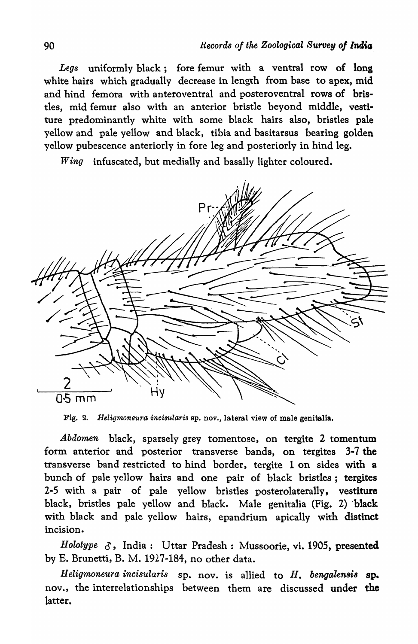*Legs* uniformly black; fore femur with a ventral row of long white hairs which gradually decrease in length from base to apex, mid and hind femora with anteroventral and posteroventral rows of bristles, mid femur also with an anterior bristle beyond middle, vestiture predominantly white with some black hairs also, bristles pale yellow and pale yellow and black, tibia and basitarsus bearing golden yellow pubescence anteriorly in fore leg and posteriorly in hind leg.

*Wing* infuscated, but medially and basally lighter coloured.

 $Pr$ Hy 05 mm

Fig. 2. *Heligmoneura incisularis* ap. nov., lateral view of male genitalia.

*Abdomen* black, sparsely grey tomentose, on tergite 2 tomentum form anterior and posterior transverse bands, on tergites 3-7 the transverse band restricted to hind border, tergite 1 on sides with a bunch of pale yellow hairs and one pair of black bristles; tergites 2-5 with a pair of pale yellow bristles posterolaterally, vestiture black, bristles pale yellow and black. Male genitalia (Fig. 2) 'black with black and pale yellow hairs, epandrium apically with distinct incision.

*Holotype*  $\delta$ , India: Uttar Pradesh: Mussoorie, vi. 1905, presented by E. Brunetti, B. M. 1927-184, no other data.

*Heligmoneura incisularis* sp. nov. is allied to *H. bengalensi8* sp. nov., the interrelationships between them are discussed under the latter.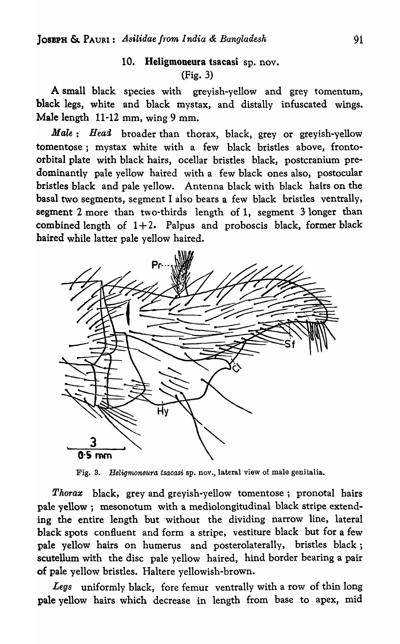# 10. Heligmoneura tsacasi sp. nov. (Fig. 3)

A small black species with greyish-yellow and grey tomentum, black legs, white and black mystax, and distally infuscated wings. Male length 11-12 mm, wing 9 mm.

*Male: Head* broader than thorax, black, grey or greyish-yellow tomentose; mystax white with a few black bristles above, frontoorbital plate with black hairs, ocellar bristles black, postcranium predominantly pale yellow haired with a few black ones also, postocular bristles black and pale yellow. Antenna black with black hairs on the basal two segments, segment I also bears a few black bristles ventrally, segment 2 more than two-thirds length of 1, segment 3 longer than combined length of  $1+2$ . Palpus and proboscis black, former black haired while latter pale yellow haired.



Fig. 3. Heligmoneura *tsacasi* sp. nov., lateral view of male genitalia.

*Thorax* black, grey and greyish-yellow tomentose; pronotal hairs pale yellow; mesonotum with a mediolongitudinal black stripe extending the entire length but 'without the dividing narrow line, lateral black spots confluent and form a stripe, vestiture black but for a few pale yellow hairs on humerus and posterolaterally, bristles black; scutellum with the disc pale yellow haired, hind border bearing a pair of pale yellow bristles. Haltere yellowish-brown.

*Legs* uniformly black, fore femur ventrally with a row of thin long pale yellow hairs which decrease in length from base to apex, mid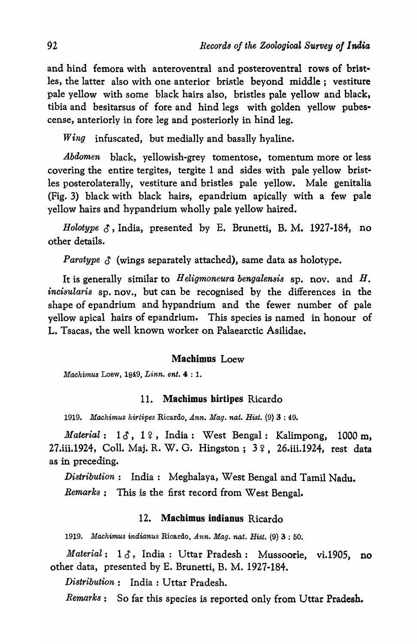and hind femora with anteroventral and posteroventral rows of bristles, the latter also with one anterior bristle beyond middle; vestiture pale yellow with some black hairs also, bristles pale yellow and black, tibia and besitarsus of fore and hind legs with golden yellow pubescense, anteriorly in fore leg and posteriorly in hind leg.

*Wing* infuscated, but medially and basally hyaline.

*Abdomen* black, yellowish-grey tomentose, tomentum more or less covering the entire tergites, tergite 1 and sides with pale yellow bristles posterolaterally, vestiture and bristles pale yellow. Male genitalia (Fig. 3) black with black hairs, epandrium apically with a few pale yellow hairs and hypandrium wholly pale yellow haired.

*Holotype*  $\delta$ , India, presented by E. Brunetti, B. M. 1927-184, no other details.

*Paratype*  $\delta$  *(wings separately attached), same data as holotype.* 

It is generally similar to *H eligmoneura bengalensis* sp. nov. and *H. inoisularis* sp. nov., but can be recognised by the differences in the shape of epandrium and hypandrium and the fewer number of pale yellow apical hairs of epandrium. This species is named in honour of L. Tsacas, the well known worker on Palaearctic Asilidae.

#### Machimus Loew

*Machimus* Loew, 1849, *Linn. ent.* 4 : 1.

#### 11. Machimus hirtipes Ricardo

*1919. Machimus hirtipes* Ricardo, *Ann. Mag. nat. Hist.* (9) 3 : 49.

*Material*: 13, 19, India: West Bengal: Kalimpong, 1000 m, 27.iii.1924, Coll. Maj. R. W. G. Hingston; 3 ?, 26.iii.1924, rest data as in preceding.

*Distribution:* India: Meghalaya, West Bengal and Tamil Nadu.

*Remarks:* This is the first record from West Bengal.

#### 12. Machimus indianus Ricardo

*1919. Machimus indianus* Ricardo, *Ann. Mag. nat. Hist.* (9) 3 : 50.

*Material:* 13, India: Uttar Pradesh: Mussoorie, vi.1905, no other data, presented by E. Brunetti, B. M. 1927-184.

*Distribution:* India: Uttar Pradesh.

*Remarks:* So far this species is reported only from Uttar Pradesh.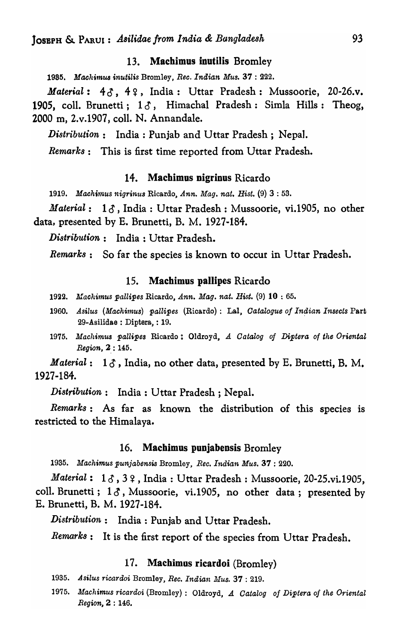## 13. Machimus inutilis Bromley

*1985. Machimus inutilis* Bromley, *Ree. Indian Mus.* 37 : 222.

Material: 43, 42, India: Uttar Pradesh: Mussoorie, 20-26.v. 1905, coll. Brunetti;  $1\delta$ , Himachal Pradesh: Simla Hills: Theog, 2000 m, 2.v.1907, colI. N. Annandale.

*Distribution*: India: Punjab and Uttar Pradesh; Nepal.

*Remark8:* This is first time reported from Uttar Pradesh.

#### 14. Machimus nigrinus Ricardo

*1919. Maehi'11'us nigrinus* Ricardo, *Ann. Mag. nat. Hist.* (9) 3 : 53.

*Material*: 1 $\delta$ , India: Uttar Pradesh: Mussoorie, vi.1905, no other data, presented by E. Brunetti, B. M. 1927-184.

*Distribution:* India: Uttar Pradesh.

*Remarks:* So far the species is known to occur in Uttar Pradesh.

# 15. Machimus pallipes Ricardo

- 19~2. *Machimus pallipes* Ricardo, *Ann. Mag. nat. Hist.* (9) 10 : 65.
- 1960. Asilus (Machimus) pallipes (Ricardo): Lal, *Catalogue of Indian Insects Part* 29-Asilidae : Diptera, : 19.
- 1975. Machimus pallipes Ricardo: Oldroyd, *A Catalog of Diptera of the Oriental Region,* 2,: 145.

*Material*:  $1\delta$ , India, no other data, presented by E. Brunetti, B. M. 1927-184.

*Distribution:* India: Uttar Pradesh; Nepal.

*Remarks:* As far as known the distribution of this species is restricted to the Himalaya.

#### 16. Machimus punjabensis Bromley

1935. Machimus punjabensis Bromley, *Rec. Indian Mus.* 37: 220.

*Material*: 13,32, India: Uttar Pradesh: Mussoorie, 20-25.vi.1905, coll. Brunetti;  $1\delta$ , Mussoorie, vi.1905, no other data; presented by E. Brunetti, B. M. 1927-184.

*Distribution:* India: Punjab and Uttar Pradesh.

*Remark8:* It is the first report of the species from Uttar Pradesh.

#### 17. Machimus ricardoi (Bromley)

- 1935. Asilus ricardoi Bromley, *Rec. Indian Mus.* 37: 219.
- *1975. Maehimus rieardoi* (Bromley): Oldroyd, A *Oatalog of Diptera of the Oriental*   $Region, 2 : 146.$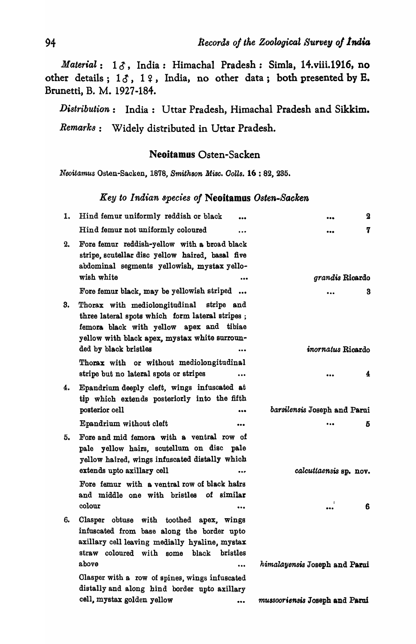*Material*: 13, India: Himachal Pradesh: Simla, 14.viii.1916, no other details;  $1\delta$ ,  $1\delta$ , India, no other data; both presented by E. Brunetti, B. M. 1927-184.

*Di8tribution:* India: Uttar Pradesh, Himachal Pradesh and Sikkim. *Remarks:* Widely distributed in Uttar Pradesh.

## Neoitamus Osten-Sacken

*Neoitamus* Osten-Sacken, 1878, *Smithson Misc. CoUs.* 16 : 82, 235.

## *Key to Indian species oj* Neoitamus *Osten.Backe",*

| 1. | Hind femur uniformly reddish or black                                                                                                                                                                             | 2                              |
|----|-------------------------------------------------------------------------------------------------------------------------------------------------------------------------------------------------------------------|--------------------------------|
|    | Hind femur not uniformly coloured<br>$\bullet$ $\bullet$                                                                                                                                                          | 7<br>                          |
| 2. | Fore femur reddish-yellow with a broad black<br>stripe, scutellar disc yellow haired, basal five<br>abdominal segments yellowish, mystax yello-<br>wish white<br>                                                 | grandis Ricardo                |
|    | Fore femur black, may be yellowish striped                                                                                                                                                                        | 3                              |
| 3. | Thorax with mediolongitudinal stripe and<br>three lateral spots which form lateral stripes;<br>femora black with yellow apex and tibiae<br>yellow with black apex, mystax white surroun-<br>ded by black bristles | inornatus Ricardo              |
|    | Thorax with or without mediolongitudinal                                                                                                                                                                          |                                |
|    | stripe but no lateral spots or stripes<br>$\bullet\bullet\bullet$                                                                                                                                                 | 4                              |
| 4. | Epandrium deeply cleft, wings infuscated at<br>tip which extends posteriorly into the fifth<br>posterior cell<br>                                                                                                 | barsilensis Joseph and Parui   |
|    | Epandrium without cleft                                                                                                                                                                                           | Б                              |
| 5. | Fore and mid femora with a ventral row of<br>pale yellow hairs, scutellum on disc pale<br>yellow haired, wings infuscated distally which                                                                          |                                |
|    | extends upto axillary cell<br>                                                                                                                                                                                    | calcuttaensis sp. nov.         |
|    | Fore femur with a ventral row of black hairs                                                                                                                                                                      |                                |
|    | and middle one with bristles of similar<br>colour                                                                                                                                                                 | 6                              |
| 6. | Clasper obtuse with toothed apex, wings<br>infuscated from base along the border upto<br>axillary cell leaving medially hyaline, mystax<br>straw coloured with some black bristles                                |                                |
|    | above<br>$\ddotsc$                                                                                                                                                                                                | himalayensis Joseph and Parui  |
|    | Clasper with a row of spines, wings infuscated<br>distally and along hind border upto axillary<br>cell, mystax golden yellow<br>$\bullet\bullet\bullet$                                                           | mussooriensis Joseph and Parui |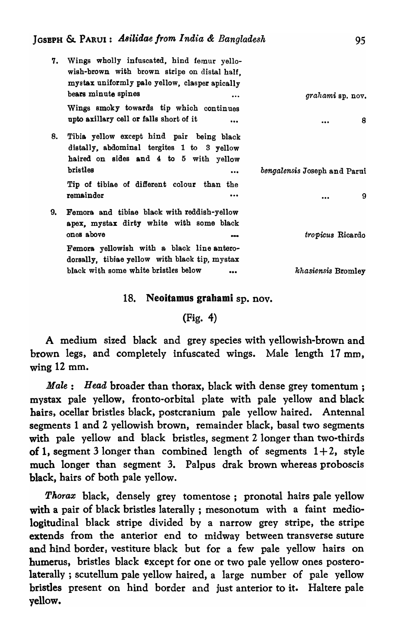| 7. | Wings wholly infuscated, hind femur yello-<br>wish-brown with brown stripe on distal half.<br>mystax uniformly pale yellow, clasper apically  |                              |
|----|-----------------------------------------------------------------------------------------------------------------------------------------------|------------------------------|
|    | bears minute spines<br>$\cdots$                                                                                                               | grahami sp. nov.             |
|    | Wings smoky towards tip which continues<br>upto axillary cell or falls short of it<br>                                                        | 8<br>                        |
| 8. | Tibia yellow except hind pair being black<br>distally, abdominal tergites 1 to 3 yellow<br>haired on sides and 4 to 5 with yellow<br>bristles |                              |
|    |                                                                                                                                               | bengalensis Joseph and Parui |
|    | Tip of tibiae of different colour than the<br>remainder<br>                                                                                   | 9<br>                        |
| 9. | Femora and tibiae black with reddish-yellow<br>apex, mystax dirty white with some black<br>ones above<br>---                                  | tropicus Ricardo             |
|    | Femora yellowish with a black line antero-<br>dorsally, tibiae yellow with black tip, mystax                                                  |                              |
|    | black with some white bristles below<br>                                                                                                      | khasiensis Bromley           |

# 18. Neoitamus grabami sp. nov.

# (Fig. 4)

A medium sized black and grey species with yellowish-brown and brown legs, and completely infuscated wings. Male length 17 mm, wing 12 mm.

*Male: Head broader than thorax, black with dense grey tomentum;* mystax pale yellow, fronto-orbital plate with pale yellow and black hairs, ocellar bristles black, postcranium pale yellow haired. Antennal segments 1 and 2 yellowish brown, remainder black, basal two segments with pale yellow and black bristles, segment 2 longer than two-thirds of 1, segment 3 longer than combined length of segments  $1+2$ , style much longer than segment 3. Palpus drak brown whereas proboscis black, hairs of both pale yellow.

*Thorax* black, densely grey tomentose; pronotal hairs pale yellow with a pair of black bristles laterally; mesonotum with a faint mediologitudinal black stripe divided by a narrow grey stripe, the stripe extends from the anterior end to midway between transverse suture and hind border, vestiture black but for a few pale yellow hairs on humerus, bristles black except for one or two pale yellow ones posterolaterally; scutellum pale yellow haired, a large number of pale yellow bristles present on hind border and just anterior to it. Haltere pale yellow.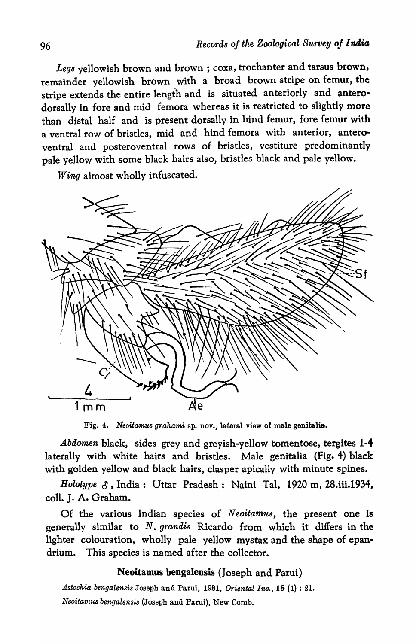Legs yellowish brown and brown; coxa, trochanter and tarsus brown, remainder yellowish brown with a broad brown stripe on femur, the stripe extends the entire length and is situated anteriorly and anterodorsally in fore and mid femora whereas it is restricted to slightly more than distal half and is present dorsally in hind femur, fore femur with a ventral row of bristles, mid and hind femora with anterior, anteroventral and posteroventral rows of bristles, vestiture predominantly pa1e yellow with some black hairs also, bristles black and pale yellow.

*Wing* almost wholly infuscated.



Fig. 4. *Neoitamus grahami* sp. nov., lateral view of male genitalia.

*Abdomen* black, sides grey and greyish-yellow tomentose, tergites 1-4 laterally with white hairs and bristles. Male genitalia (Fig. 4) black with golden yellow and black hairs, clasper apically with minute spines.

*Holotype* 0, India: Uttar Pradesh: Naini Tal, 1920 m, 28.iii.1934, coIl. J. A. Graham.

Of the various Indian species of *Neoitamus,* the present one is generally similar to *N. grandis* Ricardo from which it differs in the lighter colouration, wholly pale yellow mystax and the shape of epandrium. This species is named after the collector.

# Neoitamus bengalensis (Joseph and Parui)

*Astochia bengalensis* Joseph and Parui, 1981, *Oriental Ins.,* 15 (1) : 21. *Neoitamus bengalensis* (Joseph and Parui), New Comb.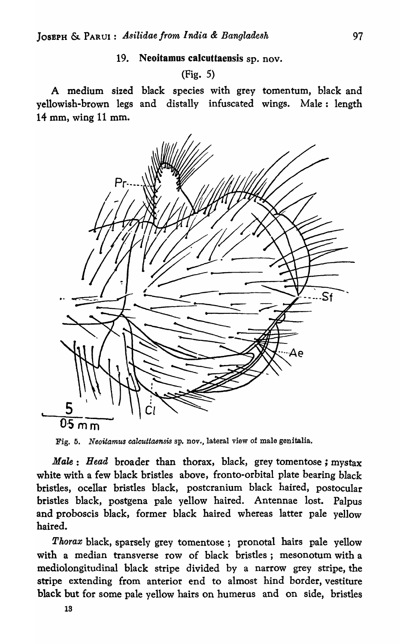# 19. Neoitamos calcuttaensis sp. nov.

# (Fig. 5)

A medium sized black species with grey tomentum, black and yellowish-brown legs and distally infuscated wings. Male: length 14 mm, wing 11 mm.



Fig. 5. *Neoitamus calcuttaensis* sp. nov., lateral view of male genitalia.

*Male: Head* broader than thorax, black, grey tomentose ; mystax white with a few black bristles above, fronto-orbital plate bearing black bristles, ocellar bristles black, postcranium black haired, postocular bristles black, postgena pale yellow haired. Antennae lost. Palpus and proboscis black, former black haired whereas latter pale yellow haired.

*Thorax* black, sparsely grey tomentose; pronotal hairs pale yellow with a median transverse row of black bristles; mesonotum with a mediolongitudinal black stripe divided by a narrow grey stripe, the stripe extending from anterior end to almost hind border, vestiture black but for some pale yellow hairs on humerus and on side, bristles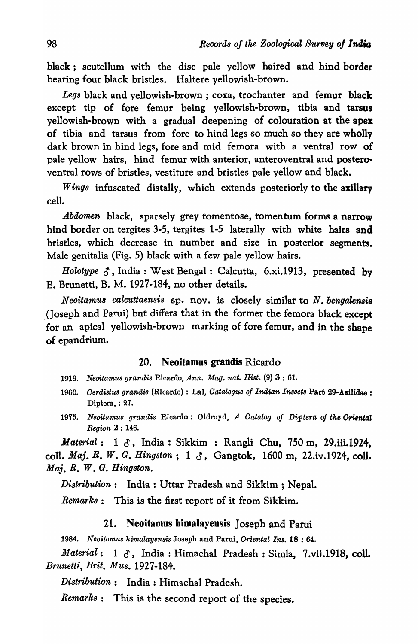black; scutellum with the disc pale yellow haired and hind border bearing four black bristles. Haltere yellowish-brown.

*Legs* black and yellowish-brown ; coxa, trochanter and femur black except tip of fore femur being yellowish-brown, tibia and tarsus yellowish-brown with a gradual deepening of colouration at the apex of tibia and tarsus from fore to hind legs so much so they are wholly dark brown in hind legs, fore and mid femora with a ventral row of pale yellow hairs, hind femur with anterior, anteroventral and posteroventral rows of bristles, vestiture and bristles pale yellow and black.

*Wings* infuscated distally, which extends posteriorly to the axillary cell.

*Abdomen* black, sparsely grey tomentose, tomentum forms a narrow hind border on tergites 3-5, tergites 1-5 laterally with white hairs and bristles, which decrease in number and size in posterior segments. Male genitalia (Fig. 5) black with a few pale yellow hairs.

*Holotype*  $\delta$ , India: West Bengal: Calcutta, 6.xi.1913, presented by E. Brunetti, B. M. 1927·184, no other details.

Neoitamus calcuttaensis sp. nov. is closely similar to N. bengalensis (Joseph and Parui) but differs that in the former the femora black except for an apical yellowish-brown marking of fore femur, and in the shape of epandrium.

# 20. Neoitamus grandis Ricardo

- *1919. Neoita·mus grandis* Ricardo, *Ann. Mag .. nat. Hist.* (9) 3 : 61.
- *1960. Oerdistus grandis* (Ricardo) : L~l, *Oatalogue of Indian Insects* Part 29-Asi1idae : Diptera, : 27.
- 1975. Neoitamus grandis Ricardo: Oldroyd, A Catalog of Diptera of the Oriental *Region* 2 : 146.

*Material*: 1  $\delta$ , India: Sikkim: Rangli Chu, 750 m, 29.iii.1924, colI. *Maj. R. W. G. Hingston;* 1 0, Gangtok, 1600 m, 22.iv.1924, coll. *Maj. R. W. G. Hing8ton.* 

*Distribution:* India: Uttar Pradesh and Sikkim ; Nepal.

*Remarks:* This is the first report of it from Sikkim.

# 21. Neoitamus himalayensis Joseph and Parui

*1984. Neoitomus himalayens1,s* Joseph and Parui, *Oriental Ins.* 18 : 64.

 $\textit{Material}: 1 \text{ } \mathcal{S}, \text{ India}: \text{Himachal Pradesh}: \text{Simla}, \text{ } 7.\text{vii.1918}, \text{ coll.}$ *Brunetti, Brit. Mus. 1927-184.* 

*Distribution:* India: Himachal Pradesh.

*Remarks:* This is the second report of the species.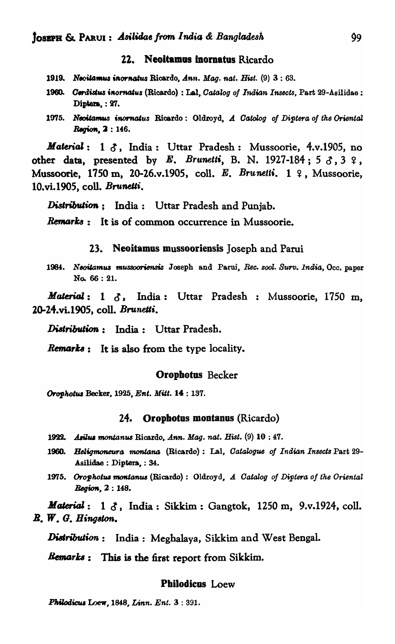# 22. Neoitamas momatas Ricardo

- 1919. Necitamus inornatus Ricardo, *Ann. Mag. nat. Hist.* (9) 3:63.
- 1960. *Gerdistus inornatus* (Ricardo) : Lal, *Catalog of Indian Insects*, Part 29-Asilidae : Diptera.: 27.
- 1975. Neotiamus *inornatus Ricardo: Oldroyd, A Catolog of Diptera of the Oriental* Region, 2: 146.

*Material*: 1  $\delta$ , India: Uttar Pradesh: Mussoorie, 4.v.1905, no other data, presented by *E. Brunetti*, B. N. 1927-184;  $5 \delta$ ,  $3 \Omega$ , Mussoorie, 1750 m, 20-26.v.1905, coll. *E. Brunetti*. 1 ?, Mussoorie, 10.vi.1905, colI. *Brunelti.* 

Distribution: India: Uttar Pradesh and Punjab.

 $$ 

#### 23. Neoitamus mussooriensis Joseph and Parui

1984. Neoitamus mussooriensis Joseph and Parui, *Rec. 2001. Surv. 1ndia*, Occ. paper No. 66 : 21.

*Material: 1 d*, India: Uttar Pradesh : Mussoorie, 1750 m, 10-24.vi.1905, colI. *Brunelli.* 

Distribution: India: Uttar Pradesh.

*Remarks*: It is also from the type locality.

#### Oropbotus Becker

Orophotus Becker, 1925. Ent. Mitt. 14 : 137.

#### 24. Orophotus montanus (Ricardo)

- 19'B. .A.iluJ *montanw* Ricardo, *Ann.* Mag. *nat. Hist.* (9) 10 ; 47.
- **1960. Heligmoneura montana (Ricardo): Lal,** *Catalogue of Indian Insects Part 29***-**Asiljdae : Diptera, : 34:.
- 1975. Orophotus montanus (Ricardo): Oldroyd, A Catalog of Diptera of the Oriental *Region,2: 148.*

*Material*: 1  $\delta$ , India: Sikkim: Gangtok, 1250 m, 9.v.1924, coll. *B. W. G. HingBkm.* 

**Distribution:** India: Meghalaya, Sikkim and West Bengal.

*Bemarks*: This is the first report from Sikkim.

#### Philodicus Loew

**Philodicus Loew, 1848, Linn. Ent. 3:391.**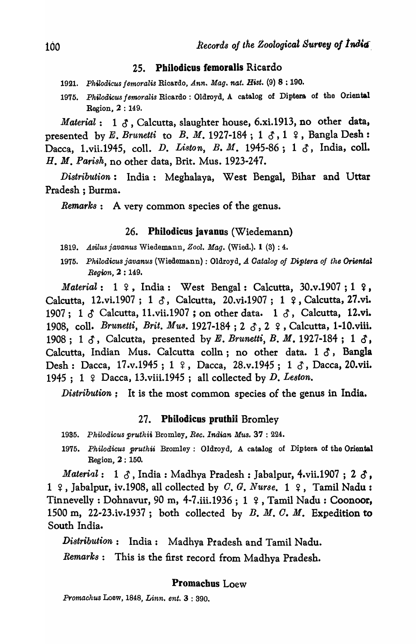#### 25. Philodicus femoralis Ricardo

- *1921. PhiZodicus femoralis* Ricardo, *Ann. Mag. nat. H1St.* (9) 8 : 190.
- *1975. Philodieus femoralis* Ricardo: Oldroyd, A catalog of Diptera of the Oriental Region, 2 : 149.

*Material*: 1  $\delta$ , Calcutta, slaughter house, 6.xi.1913, no other data, presented by *E. Brunetti* to *B. M.* 1927-184;  $1 \delta$ ,  $1 \epsilon$ , Bangla Desh: Dacca, 1.vii.1945, coll. *D. Liston*, *B. M.* 1945-86; 1  $\delta$ , India, coll. H. M. *Parish,* no other data, Brit. Mus. 1923-247.

*Distribution:* India: Meghalaya, West Bengal, Bihar and Uttar Pradesh ; Burma.

*Remarks:* A very common species of the genus.

#### 26. Philodicus javanus (Wiedemann)

- *1819. Asilus javanus* Wiedemann, *Zool. Mag.* (Wied.). 1 (3) : 4.
- 1975. Philodicus javanus (Wiedemann) : Oldroyd, *A Catalog of Diptera of the Oriental Region,* 2 : 149.

*Material*: 1 <del>?</del>, India: West Bengal: Calcutta, 30.v.1907; 1 **?**, Calcutta, 12.vi.1907; 1  $\delta$ , Calcutta, 20.vi.1907; 1  $\epsilon$ , Calcutta, 27.vi. 1907; 1  $\delta$  Calcutta, 11.vii.1907; on other data. 1  $\delta$ , Calcutta, 12.vi. 1908, coll. *Brunetti, Brit. Mus.* 1927-184; 2 3, 2 º, Calcutta, 1-10.viii. 1908; 1  $\delta$ , Calcutta, presented by E. *Brunetti*, B. M. 1927-184; 1  $\delta$ , Calcutta, Indian Mus. Calcutta colln; no other data.  $1 \delta$ , Bangla Desh: Dacca, 17.v.1945; 1 º, Dacca, 28.v.1945; 1 &, Dacca, 20.vii. 1945; 1  $\varphi$  Dacca, 13.viii.1945; all collected by D. Leston.

*Distribution;* It is the most common species of the genus in India.

#### 27. Pbilodicus pruthii Bromley

- *1935. Philodicus pruthii* Bromley, *Bee. Indian Mus.* 37 : 224.
- 1975. Philodicus pruthii Bromley: Oldroyd, A catalog of Diptera of the Oriental Region, 2: 150.

*Material*:  $1 \delta$ , India: Madhya Pradesh: Jabalpur, 4.vii.1907; 2  $\delta$ , 1  $\varphi$ , Jabalpur, iv.1908, all collected by C. G. *Nurse*. 1  $\varphi$ , Tamil Nadu: Tinnevelly : Dohnavur, 90 m, 4-7.iii.1936 ; 1  $\sqrt{2}$  , Tamil Nadu : Coonoor, 1500 ro, 22-23.iv.1937; both collected by B. M. *o.* M. Expedition to South India.

*Distribution:* India: Madhya Pradesh and Tamil Nadu.

*Remarks:* This is the first record from Madhya Pradesh.

#### Promachus Loew

*Promachus* Loew, 1848, *Linn. ent.* 3 : 390.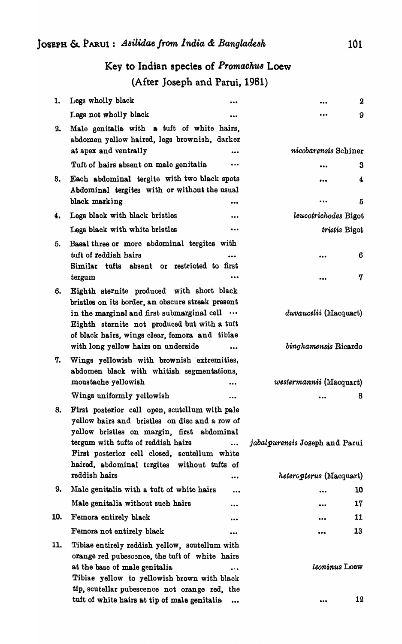# Key to Indian species of *Promaoku8* Loew (After Joseph and Patui, 1981)

| 1.  | Legs wholly black<br>                                                                                                                                                                                                                                                                            | $\mathbf 2$                    |
|-----|--------------------------------------------------------------------------------------------------------------------------------------------------------------------------------------------------------------------------------------------------------------------------------------------------|--------------------------------|
|     | Legs not wholly black<br>                                                                                                                                                                                                                                                                        | 9<br>                          |
| 2.  | Male genitalia with a tuft of white hairs,<br>abdomen yellow haired, legs brownish, darker                                                                                                                                                                                                       |                                |
|     | at apex and ventrally<br>                                                                                                                                                                                                                                                                        | nicobarensis Schiner           |
|     | Tuft of hairs absent on male genitalia<br>$\cdots$                                                                                                                                                                                                                                               | 3<br>                          |
| 3.  | Each abdominal tergite with two black spots<br>Abdominal tergites with or without the usual<br>black marking                                                                                                                                                                                     | 4<br><br>5<br>$\cdots$         |
| 4.  | Legs black with black bristles<br>$\ddotsc$                                                                                                                                                                                                                                                      | leucotrichodes Bigot           |
|     | Legs black with white bristles<br>$\ddot{\phantom{a}}$                                                                                                                                                                                                                                           | <i>tristis</i> Bigot           |
| 5.  | Basal three or more abdominal tergites with                                                                                                                                                                                                                                                      |                                |
|     | tuft of reddish hairs<br>Similar tufts absent or restricted to first                                                                                                                                                                                                                             | 6<br>                          |
|     | tergum<br>                                                                                                                                                                                                                                                                                       | 7                              |
| 6.  | Eighth sternite produced with short black<br>bristles on its border, an obscure streak present<br>in the marginal and first submarginal cell<br>Eighth sternite not produced but with a tuft<br>of black hairs, wings clear, femora and tibiae                                                   | <i>duvaucelii</i> (Macquart)   |
|     | with long yellow hairs on underside                                                                                                                                                                                                                                                              | binghamensis Ricardo           |
| 7.  | Wings yellowish with brownish extremities,<br>abdomen black with whitish segmentations,<br>moustache yellowish<br>$\cdots$                                                                                                                                                                       | <i>westermannii</i> (Macquart) |
|     | Wings uniformly yellowish<br>                                                                                                                                                                                                                                                                    | 8                              |
| 8.  | First posterior cell open, scutellum with pale<br>yellow hairs and bristles on disc and a row of<br>yellow bristles on margin, first abdominal<br>tergum with tufts of reddish hairs<br>$\ddotsc$<br>First posterior cell closed, scutellum white<br>haired, abdominal tergites without tufts of | jabalpurensis Joseph and Parui |
|     | reddish hairs<br>                                                                                                                                                                                                                                                                                | heteropterus (Macquart)        |
| 9.  | Male genitalia with a tuft of white hairs<br>                                                                                                                                                                                                                                                    | 10                             |
|     | Male genitalia without such hairs<br>                                                                                                                                                                                                                                                            | 17<br>                         |
| 10. | Femora entirely black<br>                                                                                                                                                                                                                                                                        | 11                             |
|     | Femora not entirely black<br>                                                                                                                                                                                                                                                                    | 13<br>                         |
| 11. | Tibiae entirely reddish yellow, soutellum with<br>orange red pubescence, the tuft of white hairs<br>at the base of male genitalia<br>$\cdots$<br>Tibiae yellow to yellowish brown with black<br>tip, scutellar pubescence not orange red, the                                                    | leoninus Loew<br>12            |
|     | tuft of white hairs at tip of male genitalia<br>$\cdots$                                                                                                                                                                                                                                         | $\bullet\bullet\bullet$        |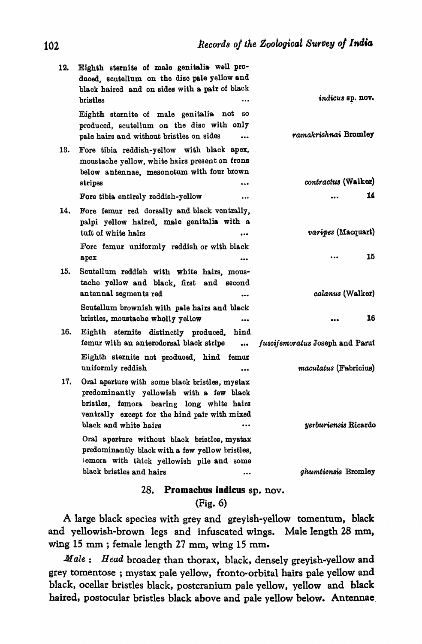| indicus sp. nov.                | Eighth sternite of male genitalia well pro-<br>duced, scutellum on the disc pale yellow and<br>black haired and on sides with a pair of black<br>bristles                                | 12. |
|---------------------------------|------------------------------------------------------------------------------------------------------------------------------------------------------------------------------------------|-----|
| ramakrishnai Bromley            | Eighth sternite of male genitalia not<br>80<br>produced, scutellum on the disc with only<br>pale hairs and without bristles on sides<br>$\cdots$                                         |     |
|                                 | Fore tibia reddish-yellow with black apex,<br>moustache yellow, white hairs present on frons<br>below antennae, mesonotum with four brown                                                | 13. |
| contractus (Walker)             | stripes<br>$\ddotsc$                                                                                                                                                                     |     |
|                                 | Fore tibia entirely reddish-yellow<br>$\cdots$                                                                                                                                           |     |
|                                 | Fore femur red dorsally and black ventrally,<br>palpi yellow haired, male genitalia with a                                                                                               | 14. |
| <i>varipes</i> (Macquart)       | tuft of white hairs                                                                                                                                                                      |     |
| 15                              | Fore femur uniformly reddish or with black<br>apex<br>$\ddotsc$                                                                                                                          |     |
| calanus (Walker)                | Scutellum reddish with white hairs, mous-<br>tache yellow and black, first<br>and<br>second<br>antennal segments red<br>$\bullet$                                                        | 15. |
|                                 | Scutellum brownish with pale hairs and black<br>bristles, moustache wholly yellow<br>$\bullet\bullet\bullet$                                                                             |     |
| fuscifemoratus Joseph and Parui | Eighth sternite distinctly produced,<br>hind<br>femur with an anterodorsal black stripe<br>$\bullet\bullet\bullet$                                                                       | 16. |
| <i>maculatus</i> (Fabricius)    | Eighth sternite not produced, hind femur<br>uniformly reddish                                                                                                                            |     |
|                                 | Oral aperture with some black bristles, mystax<br>predominantly yellowish with a few black<br>bristles, femora bearing long white hairs<br>ventrally except for the hind pair with mixed | 17. |
| yerburiensis Ricardo            | black and white hairs<br>                                                                                                                                                                |     |
|                                 | Oral aperture without black bristles, mystax<br>predominantly black with a few yellow bristles,<br>iemora with thick yellowish pile and some                                             |     |
| ghumtiensis Bromley             | black bristles and hairs<br>$\bullet\bullet\bullet$                                                                                                                                      |     |
|                                 |                                                                                                                                                                                          |     |

# 28. Promaebus indieus sp. nov.

# (Fig. 6)

A large black species with grey and greyish-yellow tomentum, black and yellowish-brown legs and infuscated wings. Male length 28 mm, wing 15 mm; female length 27 mm, wing 15 mm.

*Male: Head broader than thorax, black, densely greyish-yellow and* grey tomentose ; mystax pale yellow, fronto-orbital hairs pale yellow and black, ocellar bristles black, postcranium pale yellow, yellow and black haired, postocular bristles black above and pale yellow below. Antennae.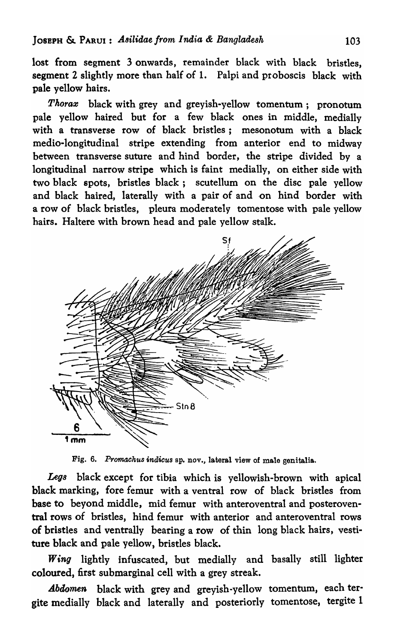lost from segment 3 onwards, remainder black with black bristles, segment 2 slightly more than half of 1. Palpi and proboscis black with pale yellow hairs.

*Pkoraz* black with grey and greyish-yellow tomentum; pronotum pale yellow haired but for a few black ones in middle, mediaIIy with a transverse row of black bristles; mesonotum with a black medio-Iongitudinal stripe extending from anterior end to midway between transverse suture and hind border, the stripe divided by a longitudinal narrow stripe which is faint medially, on either side with two black spots, bristles black; scutellum on the disc pale yellow and black haired, laterally with a pair of and on hind border with a row of black bristles, pleura moderately tomentose with pale yellow hairs. Haltere with brown head and pale yellow stalk.



Fig. 6. Promachus indicus sp. nov., lateral view of male genitalia.

*Legs* black except for tibia which is yellowish-brown with apical black marking, fore femur with a ventral row of black bristles from base to beyond middle, mid femur with anteroventral and posteroventral rows of bristles, hind femur with anterior and anteroventral rows of bristles and ventrally bearing a row of thin long black hairs, vestiture black and pale yellow, bristles black.

*Wing* lightly infuscated, but medially and basally still lighter coloured, first submarginal cell with a grey streak.

*Abdomen* black with grey and greyish-yellow tomentum, each tergite medially black and laterally and posteriorly tomentose, tergite 1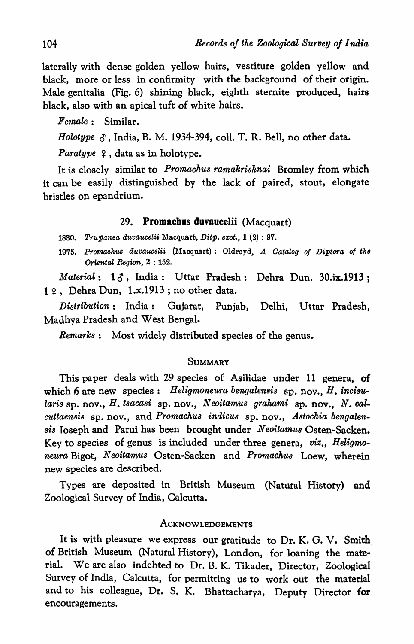laterally with dense golden yellow hairs, vestiture golden yellow and black, more or less in confirmity with the background of their origin. Male genitalia (Fig. 6) shining black, eighth sternite produced, hairs black, also with an apical tuft of white hairs.

 $Female: Similar.$ 

Holotype  $\delta$ , India, B. M. 1934-394, coll. T. R. Bell, no other data.

*Paratype*  $\varphi$ , data as in holotype.

It is closely similar to *Promachus ramakrishnai* Bromley from which it can be easily distinguished by the lack of paired, stout, elongate bristles on epandrium.

# 29. Promachus duvaucelii (Macquart)

*1880. Trupanea auvaucelii* l\facquart, *Ditp. exot.,* 1 (2) : 97.

1975. Promachus duvaucelii (Macquart): Oldroyd, *A Catalog of Diptera of the Oriental Region, 2:152.* 

Material: 16, India: Uttar Pradesh: Dehra Dun. 30.ix.1913;  $1$   $\circ$ , Dehra Dun, 1.x.1913; no other data.

*Distribution:* India: Gujarat, Punjab, Delhi, Uttar Pradesh, Madhya Pradesh and West Bengal.

*Remarks:* Most widely distributed species of the genus.

# **SUMMARY**

This paper deals with 29 species of Asilidae under 11 genera, of which 6 are new species: *Heligmoneura bengalensis* sp. nov., *H. incisularis* sp. nov., *H. tsacasi* sp. nov., *Neoitamus grahami* sp. nov., *N. cal. cuttaensis* sp. nov., and *Promachus indicus* sp. nov., Astochia bengalen*si8* Joseph and Parui has been brought under *Neoitamus* Osten-Sacken. Key to species of genus is included under three genera, *viz., Heligmoneura* Bigot, *Neoitamus* Osten-Sacken and *PromachU8* Loew, wherein new species are described.

Types are deposited in British Museum (Natural History) and Zoological Survey of India, Calcutta.

#### ACKNOWLEDGEMENTS

It is with pleasure we express our gratitude to Dr. K. G. V. Smith, of British Museum (Natural History), London, for loaning the material. We are also indebted to Dr. B. K. Tikader, Director, Zoological Survey of India, Calcutta, for permitting us to work out the material and to his colleague, Dr. S. K. Bhattacharya, Deputy Director for encouragements.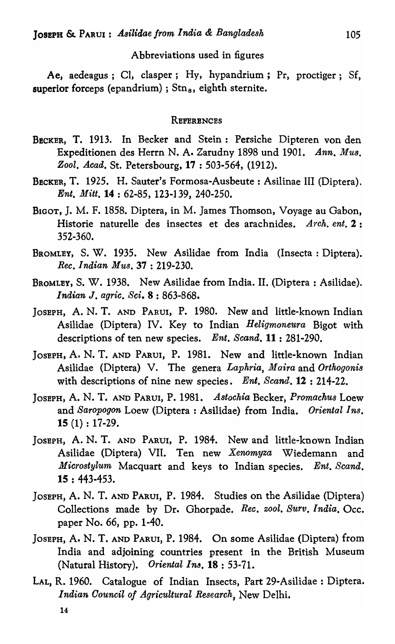# Abbreviations used in figures

Ae, aedeagus; CI, clasper; Hy, hypandrium; Pr, proctiger; Sf, superior forceps (epandrium) ;  $Stn<sub>s</sub>$ , eighth sternite.

#### **REFERENCES**

- BECKER, T. 1913. In Becker and Stein: Persiche Dipteren von den Expeditionen des Herrn N. A. Zarudny 1898 und 1901. *Ann. Mus. Zool. Acatl. St.* Petersbourg, 17 : 503-564, (1912).
- BECKER, T. 1925. H. Sauter's Formosa-Ausbeute : Asilinae III (Diptera). *Ent. Mitt.* 14 : 62-85, 123-139, 240-250.
- BIGOT, J. M. F. 1858. Diptera, in M. James Thomson, Voyage au Gabon, Historie naturelle des insectes et des arachnides. *Arch. ent.* 2 : 352-360.
- BROMLEY, S. W. 1935. New Asilidae from India (Insecta: Diptera). *Rec. Indian MU8.* 37 : 219-230.
- BROMLEY, S. W. 1938. New Asilidae from India. II. (Diptera : Asilidae). *Indian* J. *agric. Sci.* 8 : 863-868.
- JOSEPH, A. N. T. AND PARUI, P. 1980. New and little-known Indian Asilidae (Diptera) IV. Key to Indian *Heligmoneura* Bigot with descriptions of ten new species. *Ent. Scand.* 11 : 281-290.
- JOSEPH, A. N. T. AND PARUI, P. 1981. New and little-known Indian Asilidae (Diptera) V. The genera *Laphria, Maira* and *Orthogoni8*  with descriptions of nine new species. *Ent. Scand.* **12** : 214-22.
- JOSEPH, A. N. T. AND PARUI, P. 1981. *Astochia* Becker, *Promachus* Loew and *Saropogon* Loew (Diptera : Asilidae) from India. *Oriental Ins.*  15 (1) : 17-29.
- JOSEPH, A. N. T. AND PARUI, P. 1984. New and little-known Indian Asilidae (Diptera) VII. Ten new *Xenomyza* Wiedemann and *Microstylurn,* Macquart and keys to Indian species. *Ent. Scand.*  15 : 443-453.
- JOSEPH, A. N. T. AND PARUI, P. 1984. Studies on the Asilidae (Diptera) Collections made by Dr. Ghorpade. *Rec. zool. Surv. India.* Occ. paper No. 66, pp. 1-40.
- JOSEPH, A. N. T. AND PARUI, P. 1984. On some Asilidae (Diptera) from India and adjoining countries present in the British Museum (Natural History). *Oriental Ina.* 18 : 53-71.
- LAL, R. 1960. Catalogue of Indian Insects, Part 29-Asilidae : Diptera. *Indian Oouncil of Agricultural Research,* New Delhi.